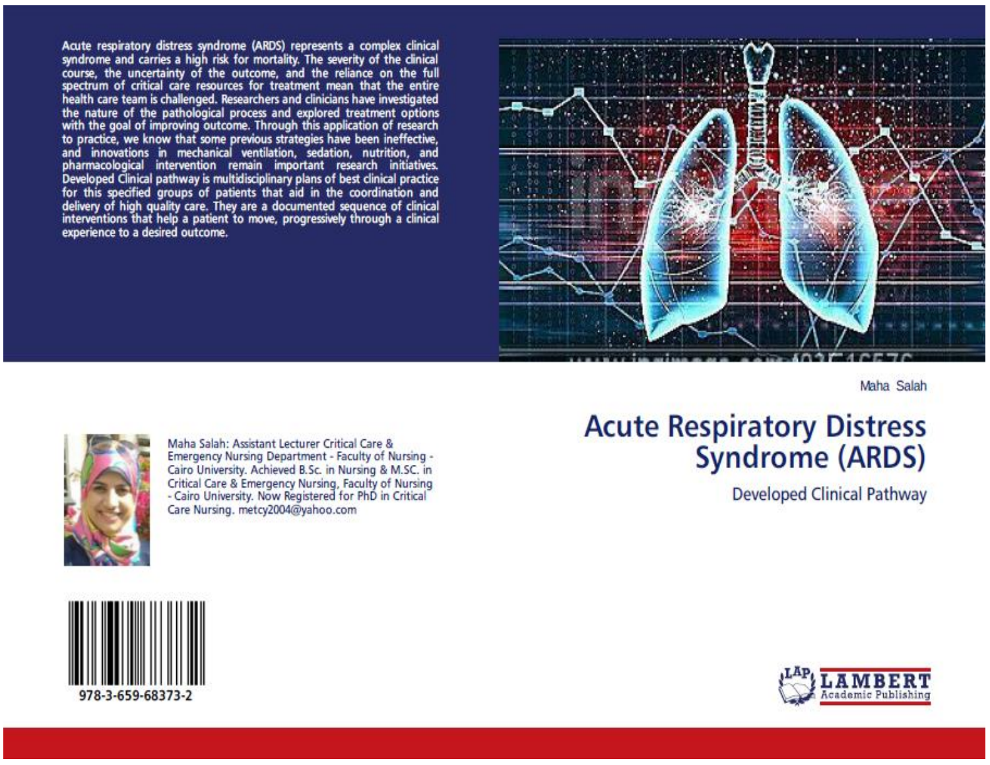Acute respiratory distress syndrome (ARDS) represents a complex clinical syndrome and carries a high risk for mortality. The severity of the clinical course, the uncertainty of the outcome, and the reliance on the full spectrum of critical care resources for treatment mean that the entire health care team is challenged. Researchers and clinicians have investigated the nature of the pathological process and explored treatment options with the goal of improving outcome. Through this application of research to practice, we know that some previous strategies have been ineffective, and innovations in mechanical ventilation, sedation, nutrition, and pharmacological intervention remain important research initiatives. Developed Clinical pathway is multidisciplinary plans of best clinical practice for this specified groups of patients that aid in the coordination and delivery of high quality care. They are a documented sequence of clinical interventions that help a patient to move, progressively through a clinical experience to a desired outcome.



Maha Salah



Maha Salah: Assistant Lecturer Critical Care & Emergency Nursing Department - Faculty of Nursing -Cairo University. Achieved B.Sc. in Nursing & M.SC. in Critical Care & Emergency Nursing, Faculty of Nursing - Cairo University. Now Registered for PhD in Critical Care Nursing. metcy2004@yahoo.com

## **Acute Respiratory Distress Syndrome (ARDS)**

**Developed Clinical Pathway** 



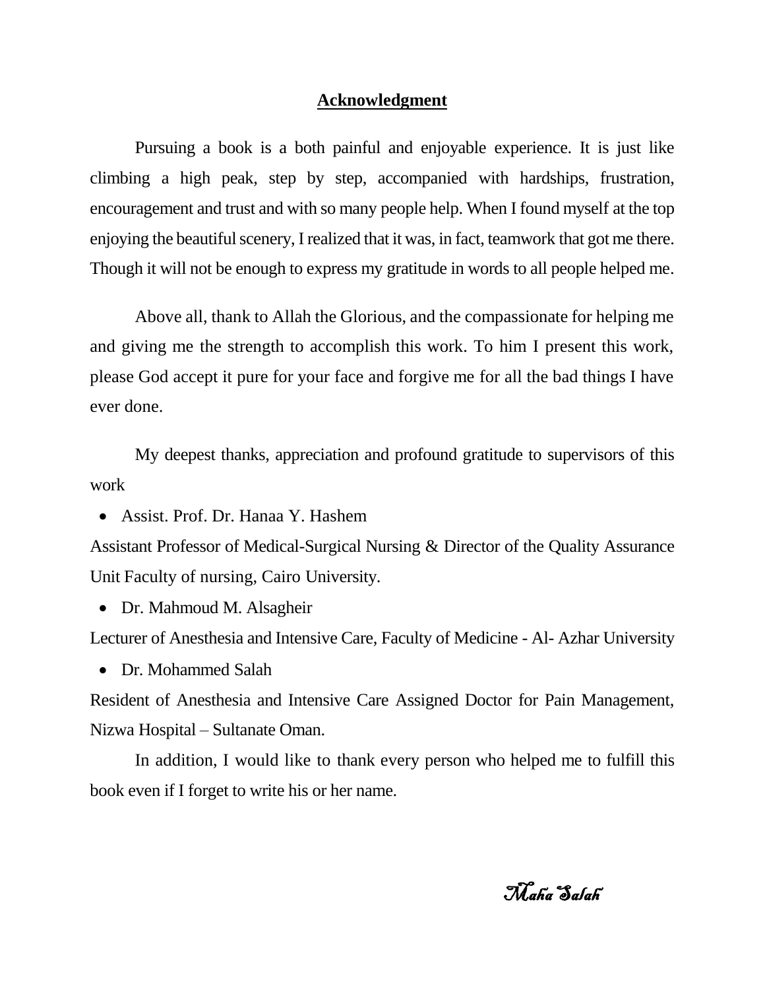## **Acknowledgment**

Pursuing a book is a both painful and enjoyable experience. It is just like climbing a high peak, step by step, accompanied with hardships, frustration, encouragement and trust and with so many people help. When I found myself at the top enjoying the beautiful scenery, I realized that it was, in fact, teamwork that got me there. Though it will not be enough to express my gratitude in words to all people helped me.

Above all, thank to Allah the Glorious, and the compassionate for helping me and giving me the strength to accomplish this work. To him I present this work, please God accept it pure for your face and forgive me for all the bad things I have ever done.

My deepest thanks, appreciation and profound gratitude to supervisors of this work

Assist. Prof. Dr. Hanaa Y. Hashem

Assistant Professor of Medical-Surgical Nursing & Director of the Quality Assurance Unit Faculty of nursing, Cairo University.

• Dr. Mahmoud M. Alsagheir

Lecturer of Anesthesia and Intensive Care, Faculty of Medicine - Al- Azhar University

• Dr. Mohammed Salah

Resident of Anesthesia and Intensive Care Assigned Doctor for Pain Management, Nizwa Hospital – Sultanate Oman.

In addition, I would like to thank every person who helped me to fulfill this book even if I forget to write his or her name.

Maha Salah